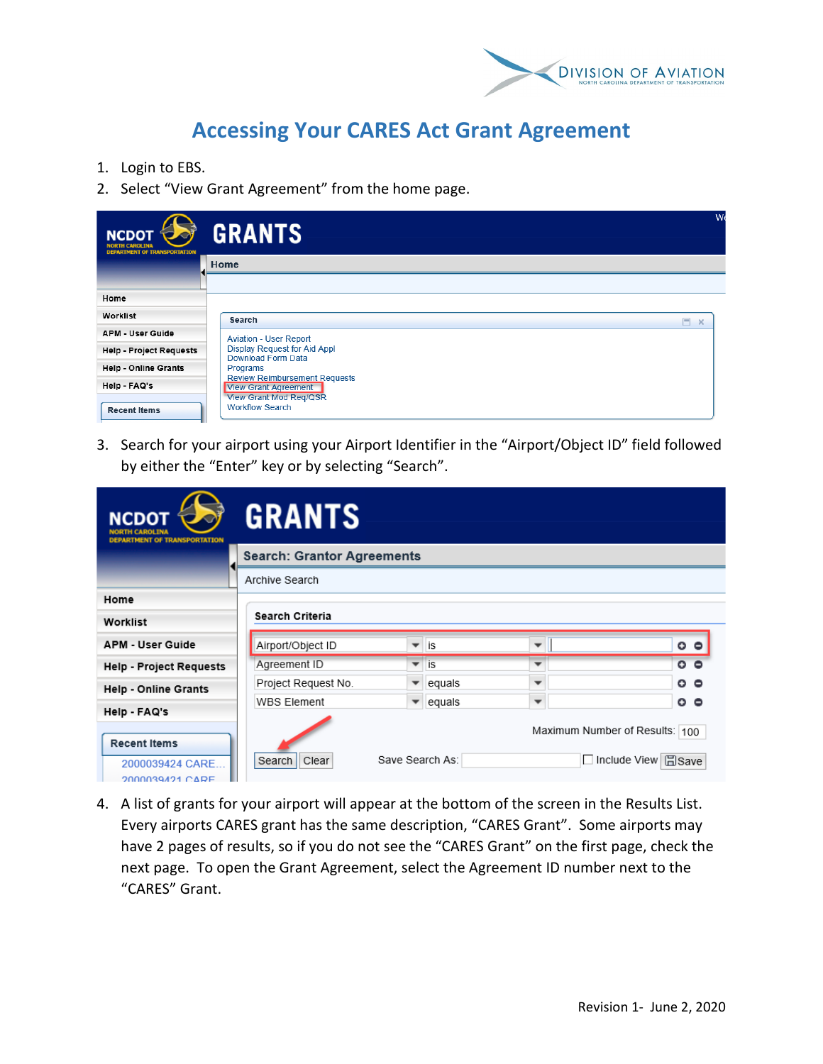

## **Accessing Your CARES Act Grant Agreement**

- 1. Login to EBS.
- 2. Select "View Grant Agreement" from the home page.

| NCDOT $\epsilon$<br><b>DEPARTMENT OF TRANSPORTATION</b> | W<br><b>GRANTS</b>                                                  |
|---------------------------------------------------------|---------------------------------------------------------------------|
|                                                         | Home                                                                |
|                                                         |                                                                     |
| Home                                                    |                                                                     |
| Worklist                                                | Search<br>$- x$                                                     |
| <b>APM - User Guide</b>                                 | <b>Aviation - User Report</b>                                       |
| <b>Help - Project Requests</b>                          | Display Request for Aid Appl<br><b>Download Form Data</b>           |
| Help - Online Grants                                    | Programs                                                            |
| Help - FAQ's                                            | <b>Review Reimbursement Requests</b><br><b>View Grant Agreement</b> |
| <b>Recent Items</b>                                     | View Grant Mod Req/QSR<br><b>Workflow Search</b>                    |

3. Search for your airport using your Airport Identifier in the "Airport/Object ID" field followed by either the "Enter" key or by selecting "Search".

| CDOT<br><b>RTMENT OF TRANSPORTATION</b>                   | <b>GRANTS</b>                     |                          |                 |                          |                                                                        |  |  |
|-----------------------------------------------------------|-----------------------------------|--------------------------|-----------------|--------------------------|------------------------------------------------------------------------|--|--|
|                                                           | <b>Search: Grantor Agreements</b> |                          |                 |                          |                                                                        |  |  |
|                                                           | Archive Search                    |                          |                 |                          |                                                                        |  |  |
| Home                                                      |                                   |                          |                 |                          |                                                                        |  |  |
| Worklist                                                  | Search Criteria                   |                          |                 |                          |                                                                        |  |  |
| <b>APM - User Guide</b>                                   | Airport/Object ID                 | $\overline{\phantom{a}}$ | is              | $\overline{\phantom{a}}$ | $\circ$ $\circ$                                                        |  |  |
| <b>Help - Project Requests</b>                            | Agreement ID                      | ▼                        | is              | ▼                        | $\circ$ $\circ$                                                        |  |  |
| <b>Help - Online Grants</b>                               | Project Request No.               |                          | equals          | $\overline{\phantom{a}}$ | $\circ$ $\circ$                                                        |  |  |
| Help - FAQ's                                              | <b>WBS Element</b>                | $\overline{\phantom{a}}$ | equals          | $\overline{\phantom{a}}$ | 。。                                                                     |  |  |
| <b>Recent Items</b><br>2000039424 CARE<br>2000039421 CARE | Clear<br>Search                   |                          | Save Search As: |                          | Maximum Number of Results: 100<br>$\Box$ Include View<br><b>H</b> Save |  |  |

4. A list of grants for your airport will appear at the bottom of the screen in the Results List. Every airports CARES grant has the same description, "CARES Grant". Some airports may have 2 pages of results, so if you do not see the "CARES Grant" on the first page, check the next page. To open the Grant Agreement, select the Agreement ID number next to the "CARES" Grant.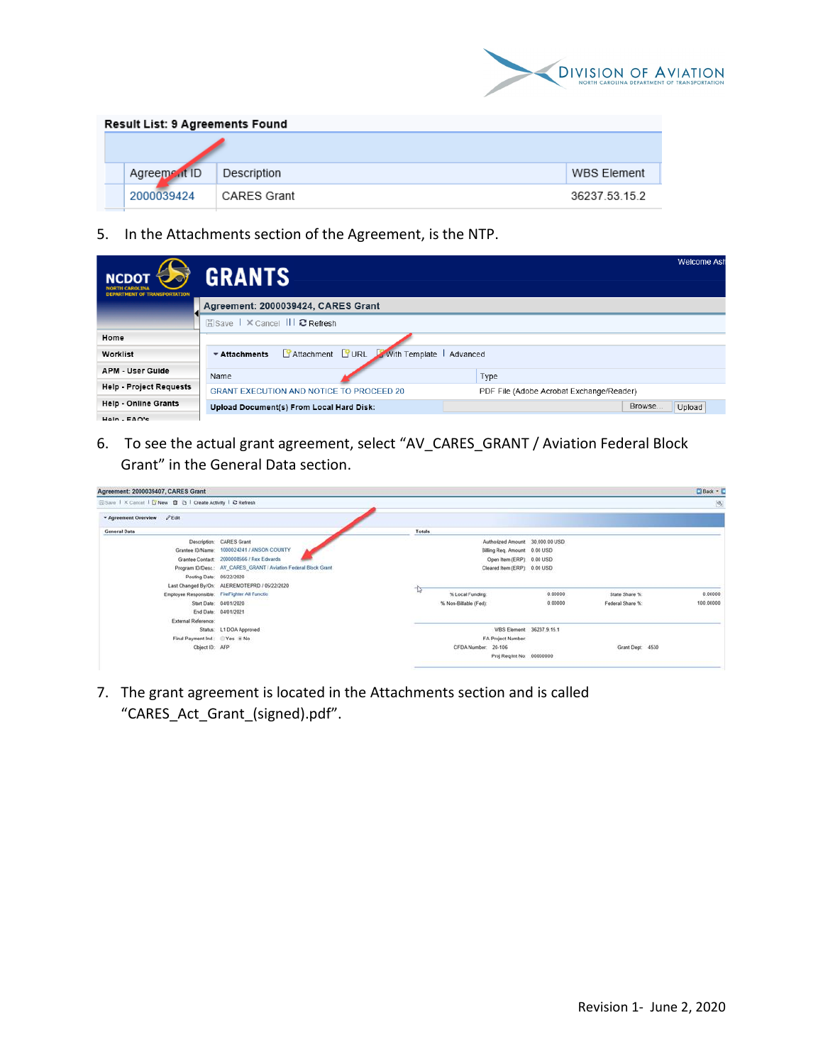

| <b>Result List: 9 Agreements Found</b> |                    |               |  |  |  |
|----------------------------------------|--------------------|---------------|--|--|--|
|                                        |                    |               |  |  |  |
| Agreement ID                           | Description        | WBS Element   |  |  |  |
| 2000039424                             | <b>CARES Grant</b> | 36237 53 15 2 |  |  |  |

5. In the Attachments section of the Agreement, is the NTP.

| <b>NCDOT</b><br><b>VORTH CAROLINA</b><br><b>DEPARTMENT OF TRANSPORTATION</b> | <b>GRANTS</b>                                                                 | <b>Welcome Ast</b>                       |  |  |  |  |  |
|------------------------------------------------------------------------------|-------------------------------------------------------------------------------|------------------------------------------|--|--|--|--|--|
|                                                                              | Agreement: 2000039424, CARES Grant                                            |                                          |  |  |  |  |  |
|                                                                              | <b>Esave I × Cancel III @ Refresh</b>                                         |                                          |  |  |  |  |  |
| Home                                                                         |                                                                               |                                          |  |  |  |  |  |
| Worklist                                                                     | <b>SAttachment</b> SURL With Template<br>$\overline{\phantom{a}}$ Attachments | Advanced                                 |  |  |  |  |  |
| <b>APM - User Guide</b>                                                      | Name                                                                          | Type                                     |  |  |  |  |  |
| <b>Help - Project Requests</b>                                               | <b>GRANT EXECUTION AND NOTICE TO PROCEED 20</b>                               | PDF File (Adobe Acrobat Exchange/Reader) |  |  |  |  |  |
| <b>Help - Online Grants</b>                                                  | Upload Document(s) From Local Hard Disk:                                      | Browse<br>Upload                         |  |  |  |  |  |
| $Hain = EAM'e$                                                               |                                                                               |                                          |  |  |  |  |  |

6. To see the actual grant agreement, select "AV\_CARES\_GRANT / Aviation Federal Block Grant" in the General Data section.

| Agreement: 2000039407, CARES Grant                         |                                                                 |               |                       |                                  |                  | C Back - D               |
|------------------------------------------------------------|-----------------------------------------------------------------|---------------|-----------------------|----------------------------------|------------------|--------------------------|
| ESave   X Cancel   S'New 0 0   Create Activity   2 Refresh |                                                                 |               |                       |                                  |                  | $\langle \delta \rangle$ |
|                                                            |                                                                 |               |                       |                                  |                  |                          |
| <b>General Data</b>                                        |                                                                 | <b>Totals</b> |                       |                                  |                  |                          |
| Description:                                               | <b>CARES Grant</b>                                              |               |                       | Authorized Amount: 30,000.00 USD |                  |                          |
| Grantee ID/Name:                                           | 1000024241 / ANSON COUNTY                                       |               |                       | Billing Reg. Amount 0.00 USD     |                  |                          |
|                                                            | Grantee Contact: 2000008566 / Rex Edwards                       |               |                       | Open Item (ERP) 0.00 USD         |                  |                          |
|                                                            | Program ID/Desc.: AV_CARES_GRANT / Aviation Federal Block Grant |               |                       | Cleared Item (ERP): 0.00 USD     |                  |                          |
| Posting Date: 05/22/2020                                   |                                                                 |               |                       |                                  |                  |                          |
|                                                            | Last Changed By/On: ALEREMOTEPRD / 05/22/2020                   |               |                       |                                  |                  |                          |
|                                                            | Employee Responsible: FireFighter All Functio                   | -চি           | % Local Funding:      | 0.00000                          | State Share %:   | 0.00000                  |
|                                                            | Start Date: 04/01/2020                                          |               | % Non-Billable (Fed): | 0.00000                          | Federal Share %: | 100.00000                |
|                                                            | End Date: 04/01/2021                                            |               |                       |                                  |                  |                          |
| External Reference:                                        |                                                                 |               |                       |                                  |                  |                          |
|                                                            | Status: L1 DOA Approved                                         |               |                       | WBS Element 36237.9.15.1         |                  |                          |
| Final Payment Ind: Yes # No                                |                                                                 |               | FA Project Number:    |                                  |                  |                          |
| Object ID: AFP                                             |                                                                 |               | CFDA Number: 20-106   |                                  | Grant Dept 4530  |                          |
|                                                            |                                                                 |               |                       | Proj Reg Int No: 00000000        |                  |                          |
|                                                            |                                                                 |               |                       |                                  |                  |                          |

7. The grant agreement is located in the Attachments section and is called "CARES\_Act\_Grant\_(signed).pdf".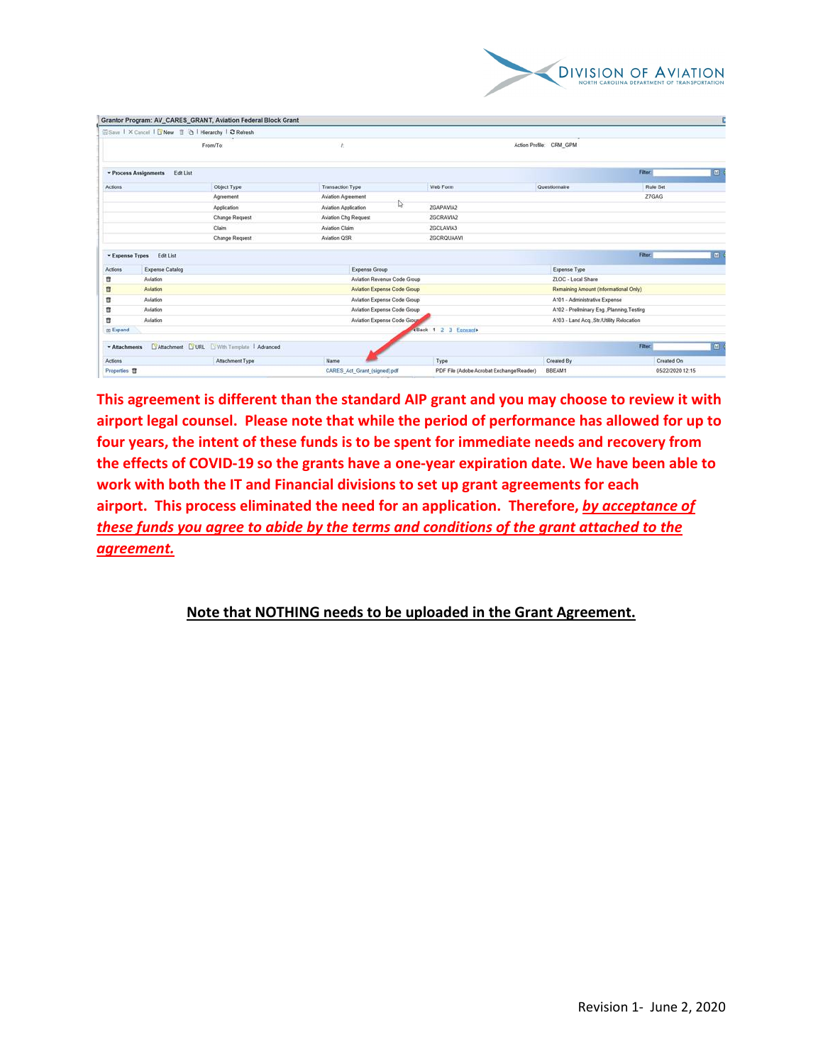

|                          |                                                    | Grantor Program: AV_CARES_GRANT, Aviation Federal Block Grant |                              |                             |                                          |                                          |                  |                |
|--------------------------|----------------------------------------------------|---------------------------------------------------------------|------------------------------|-----------------------------|------------------------------------------|------------------------------------------|------------------|----------------|
|                          | Save   X Cancel   SNew   a   Hierarchy   2 Rofresh |                                                               |                              |                             |                                          |                                          |                  |                |
| From/To:                 |                                                    |                                                               |                              |                             | Action Profile: CRM GPM                  |                                          |                  |                |
|                          | <b>v</b> Process Assignments<br>Edit List          |                                                               |                              |                             |                                          |                                          | Filter:          | $\Box$         |
| Actions                  |                                                    | Object Type                                                   | <b>Transaction Type</b>      |                             | Web Form                                 | Questionnaire                            | Rule Set         |                |
|                          |                                                    | Agreement                                                     | Aviation Agreement           |                             |                                          |                                          | <b>ZTGAG</b>     |                |
|                          |                                                    | Application                                                   | Aviation Application         | ⊵                           | ZGAPAVIA2                                |                                          |                  |                |
|                          |                                                    | Change Request                                                | Aviation Chg Request         |                             | ZGCRAVIA2                                |                                          |                  |                |
|                          |                                                    | Claim                                                         | Aviation Claim               |                             | ZGCLAVIA3                                |                                          |                  |                |
|                          |                                                    | Change Request                                                | Aviation QSR                 |                             | <b>ZGCROUAAVI</b>                        |                                          |                  |                |
| - Expense Types          | Edit List                                          |                                                               |                              |                             |                                          |                                          | Filter:          | $\blacksquare$ |
| Actions                  | <b>Expense Catalog</b>                             |                                                               | Expense Group                |                             |                                          | <b>Expense Type</b>                      |                  |                |
| 貢                        | Aviation                                           |                                                               | Aviation Revenue Code Group  |                             |                                          | ZLOC - Local Share                       |                  |                |
| 目<br>Aviation            |                                                    |                                                               |                              | Aviation Expense Code Group |                                          | Remaining Amount (Informational Only)    |                  |                |
| 目                        | Aviation<br>Aviation Expense Code Group            |                                                               |                              |                             | A101 - Administrative Expense            |                                          |                  |                |
| в                        | Aviation                                           |                                                               |                              | Aviation Expense Code Group |                                          | A102 - Preliminary Eng. Planning Testing |                  |                |
| п                        | Aviation                                           |                                                               | Aviation Expense Code Group  |                             |                                          | A103 - Land Acq. Str./Utility Relocation |                  |                |
| <b>Expand</b>            |                                                    |                                                               |                              |                             | +Back 1 2 3 Eorwards                     |                                          |                  |                |
| - Attachments            |                                                    | SAttachment C URL E With Template   Advanced                  |                              |                             |                                          |                                          | Filter:          | $\Box$         |
| Actions                  |                                                    | Attachment Type                                               | Name                         |                             | Type                                     | Created By                               | Created On       |                |
| Properties <sup>ff</sup> |                                                    |                                                               | CARES Act Grant (signed) pdf |                             | PDF File (Adobe Acrobat Exchange/Reader) | BBEAM1                                   | 05/22/2020 12:15 |                |
|                          |                                                    |                                                               |                              |                             |                                          |                                          |                  |                |

**This agreement is different than the standard AIP grant and you may choose to review it with airport legal counsel. Please note that while the period of performance has allowed for up to four years, the intent of these funds is to be spent for immediate needs and recovery from the effects of COVID-19 so the grants have a one-year expiration date. We have been able to work with both the IT and Financial divisions to set up grant agreements for each airport. This process eliminated the need for an application. Therefore,** *by acceptance of these funds you agree to abide by the terms and conditions of the grant attached to the agreement.*

**Note that NOTHING needs to be uploaded in the Grant Agreement.**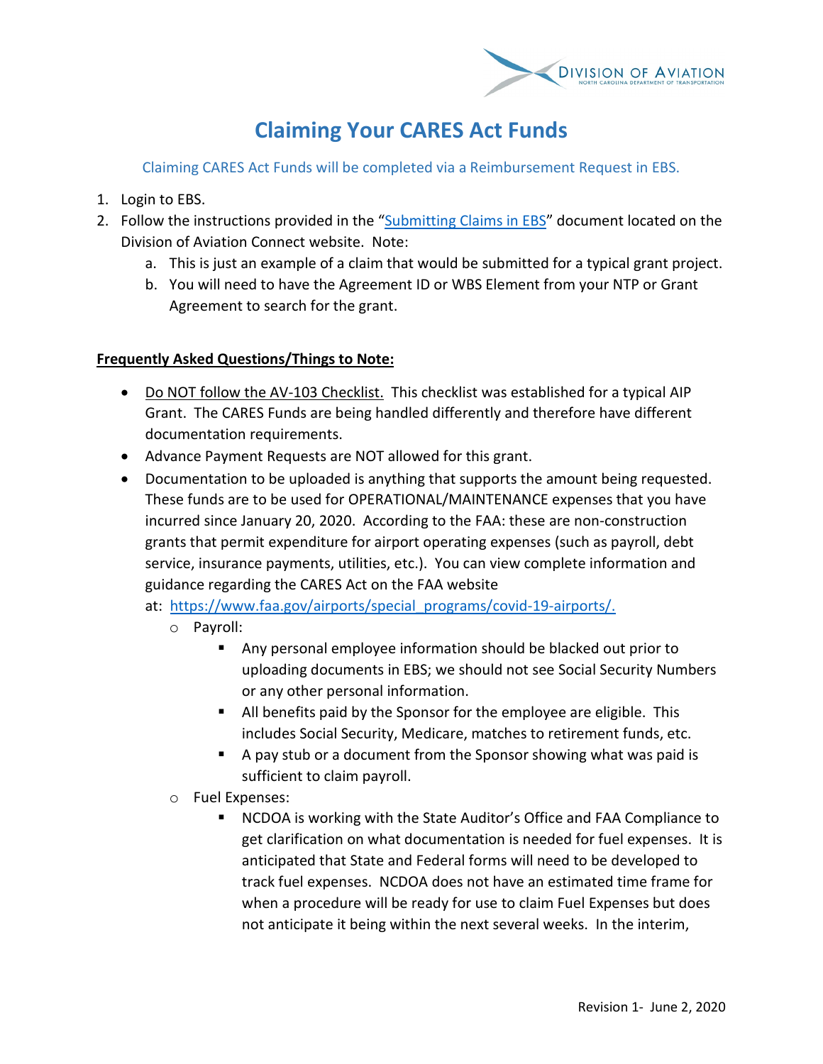

## **Claiming Your CARES Act Funds**

Claiming CARES Act Funds will be completed via a Reimbursement Request in EBS.

- 1. Login to EBS.
- 2. Follow the instructions provided in the ["Submitting Claims in EBS"](https://connect.ncdot.gov/municipalities/State-Airport-Aid/State%20Airport%20Aid%20Documents/EBS%20Claim%20Form%20April%202020.pdf) document located on the Division of Aviation Connect website. Note:
	- a. This is just an example of a claim that would be submitted for a typical grant project.
	- b. You will need to have the Agreement ID or WBS Element from your NTP or Grant Agreement to search for the grant.

## **Frequently Asked Questions/Things to Note:**

- Do NOT follow the AV-103 Checklist. This checklist was established for a typical AIP Grant. The CARES Funds are being handled differently and therefore have different documentation requirements.
- Advance Payment Requests are NOT allowed for this grant.
- Documentation to be uploaded is anything that supports the amount being requested. These funds are to be used for OPERATIONAL/MAINTENANCE expenses that you have incurred since January 20, 2020. According to the FAA: these are non-construction grants that permit expenditure for airport operating expenses (such as payroll, debt service, insurance payments, utilities, etc.). You can view complete information and guidance regarding the CARES Act on the FAA website
	- at: [https://www.faa.gov/airports/special\\_programs/covid-19-airports/.](https://www.faa.gov/airports/special_programs/covid-19-airports/) 
		- o Payroll:
			- Any personal employee information should be blacked out prior to uploading documents in EBS; we should not see Social Security Numbers or any other personal information.
			- All benefits paid by the Sponsor for the employee are eligible. This includes Social Security, Medicare, matches to retirement funds, etc.
			- A pay stub or a document from the Sponsor showing what was paid is sufficient to claim payroll.
		- o Fuel Expenses:
			- NCDOA is working with the State Auditor's Office and FAA Compliance to get clarification on what documentation is needed for fuel expenses. It is anticipated that State and Federal forms will need to be developed to track fuel expenses. NCDOA does not have an estimated time frame for when a procedure will be ready for use to claim Fuel Expenses but does not anticipate it being within the next several weeks. In the interim,